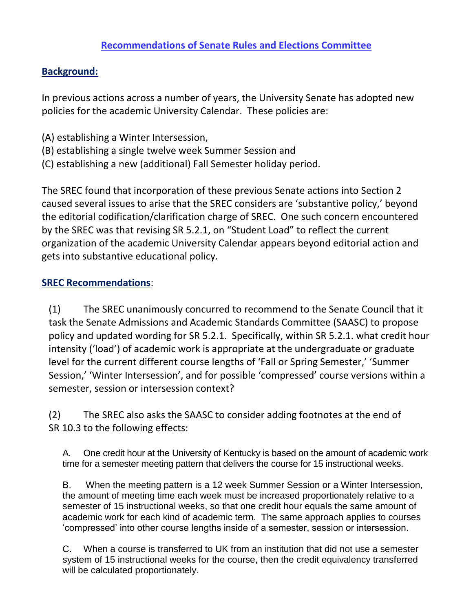## **Background:**

In previous actions across a number of years, the University Senate has adopted new policies for the academic University Calendar. These policies are:

- (A) establishing a Winter Intersession,
- (B) establishing a single twelve week Summer Session and
- (C) establishing a new (additional) Fall Semester holiday period.

The SREC found that incorporation of these previous Senate actions into Section 2 caused several issues to arise that the SREC considers are 'substantive policy,' beyond the editorial codification/clarification charge of SREC. One such concern encountered by the SREC was that revising SR 5.2.1, on "Student Load" to reflect the current organization of the academic University Calendar appears beyond editorial action and gets into substantive educational policy.

## **SREC Recommendations**:

(1) The SREC unanimously concurred to recommend to the Senate Council that it task the Senate Admissions and Academic Standards Committee (SAASC) to propose policy and updated wording for SR 5.2.1. Specifically, within SR 5.2.1. what credit hour intensity ('load') of academic work is appropriate at the undergraduate or graduate level for the current different course lengths of 'Fall or Spring Semester,' 'Summer Session,' 'Winter Intersession', and for possible 'compressed' course versions within a semester, session or intersession context?

(2) The SREC also asks the SAASC to consider adding footnotes at the end of SR 10.3 to the following effects:

A. One credit hour at the University of Kentucky is based on the amount of academic work time for a semester meeting pattern that delivers the course for 15 instructional weeks.

B. When the meeting pattern is a 12 week Summer Session or a Winter Intersession, the amount of meeting time each week must be increased proportionately relative to a semester of 15 instructional weeks, so that one credit hour equals the same amount of academic work for each kind of academic term. The same approach applies to courses 'compressed' into other course lengths inside of a semester, session or intersession.

C. When a course is transferred to UK from an institution that did not use a semester system of 15 instructional weeks for the course, then the credit equivalency transferred will be calculated proportionately.